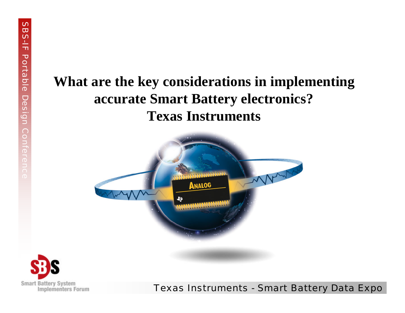### **What are the key considerations in implementing accurate Smart Battery electronics? Texas Instruments**



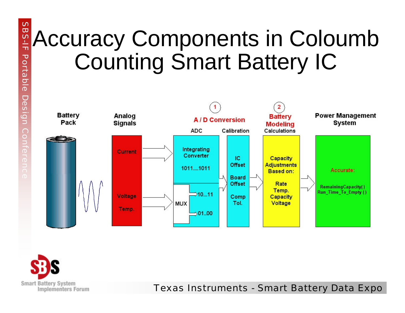# Accuracy Components in Coloumb Counting Smart Battery IC



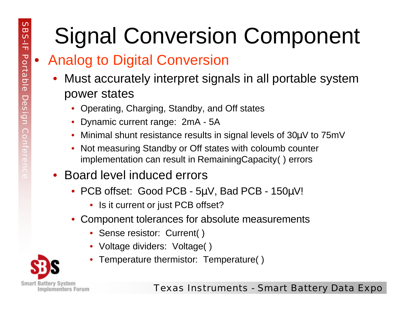# Signal Conversion Component

## • Analog to Digital Conversion

- Must accurately interpret signals in all portable system power states
	- Operating, Charging, Standby, and Off states
	- Dynamic current range: 2mA 5A
	- Minimal shunt resistance results in signal levels of 30μV to 75mV
	- Not measuring Standby or Off states with coloumb counter implementation can result in RemainingCapacity( ) errors

#### • Board level induced errors

- PCB offset: Good PCB 5μV, Bad PCB 150μV!
	- Is it current or just PCB offset?
- Component tolerances for absolute measurements
	- Sense resistor: Current()
	- Voltage dividers: Voltage( )
	- Temperature thermistor: Temperature( )

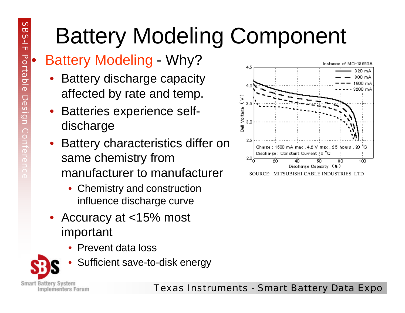# Battery Modeling Component

## • Battery Modeling - Why?

- Battery discharge capacity affected by rate and temp.
- Batteries experience selfdischarge
- Battery characteristics differ on same chemistry from manufacturer to manufacturer
	- Chemistry and construction influence discharge curve
- Accuracy at <15% most important
	- Prevent data loss





SOURCE: MITSUBISHI CABLE INDUSTRIES, LTD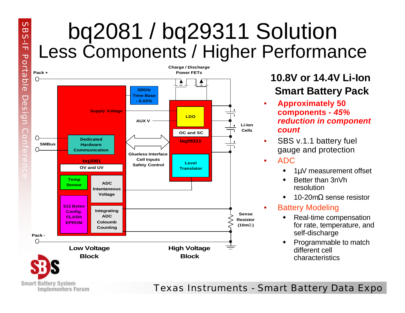## bq2081 / bq29311 Solution Less Components / Higher Performance



 $\mathcal{O}$  $\overline{u}$  $\overline{C}$ 느  $\overline{\mathbf{u}}$ 

**Smart Battery System** 

**Implementers Forum** 

#### **10.8V or 14.4V Li-Ion Smart Battery Pack**

- **Approximately 50 components -** *45% reduction in component count*
- SBS v.1.1 battery fuel gauge and protection

#### • ADC

- $\cdot$  1µV measurement offset
- Better than 3nVh resolution
- 10-20m $Ω$  sense resistor

#### **Battery Modeling**

- $\leftarrow$  Real-time compensation for rate, temperature, and self-discharge
- Programmable to match different cell characteristics